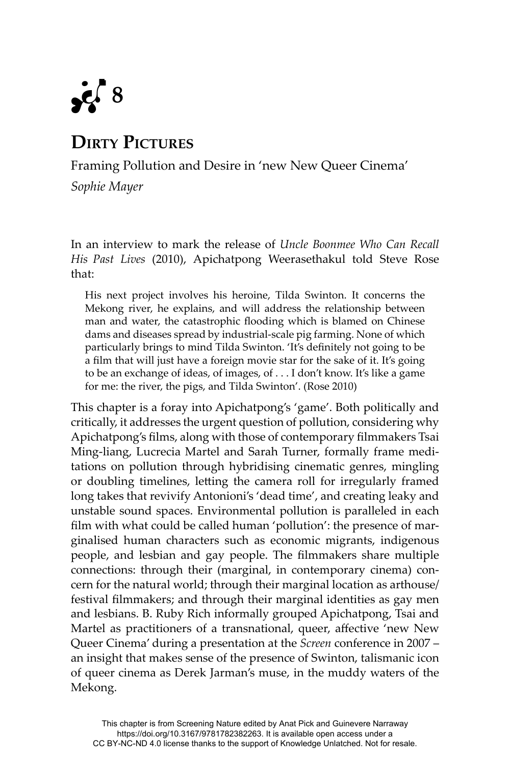

## **DIRTY PICTURES**

Framing Pollution and Desire in 'new New Queer Cinema'

*Sophie Mayer*

In an interview to mark the release of *Uncle Boonmee Who Can Recall His Past Lives* (2010), Apichatpong Weerasethakul told Steve Rose that:

His next project involves his heroine, Tilda Swinton. It concerns the Mekong river, he explains, and will address the relationship between man and water, the catastrophic flooding which is blamed on Chinese dams and diseases spread by industrial-scale pig farming. None of which particularly brings to mind Tilda Swinton. 'It's definitely not going to be a film that will just have a foreign movie star for the sake of it. It's going to be an exchange of ideas, of images, of . . . I don't know. It's like a game for me: the river, the pigs, and Tilda Swinton'. (Rose 2010)

This chapter is a foray into Apichatpong's 'game'. Both politically and critically, it addresses the urgent question of pollution, considering why Apichatpong's films, along with those of contemporary filmmakers Tsai Ming-liang, Lucrecia Martel and Sarah Turner, formally frame meditations on pollution through hybridising cinematic genres, mingling or doubling timelines, letting the camera roll for irregularly framed long takes that revivify Antonioni's 'dead time', and creating leaky and unstable sound spaces. Environmental pollution is paralleled in each film with what could be called human 'pollution': the presence of marginalised human characters such as economic migrants, indigenous people, and lesbian and gay people. The filmmakers share multiple connections: through their (marginal, in contemporary cinema) concern for the natural world; through their marginal location as arthouse/ festival filmmakers; and through their marginal identities as gay men and lesbians. B. Ruby Rich informally grouped Apichatpong, Tsai and Martel as practitioners of a transnational, queer, affective 'new New Queer Cinema' during a presentation at the *Screen* conference in 2007 – an insight that makes sense of the presence of Swinton, talismanic icon of queer cinema as Derek Jarman's muse, in the muddy waters of the Mekong.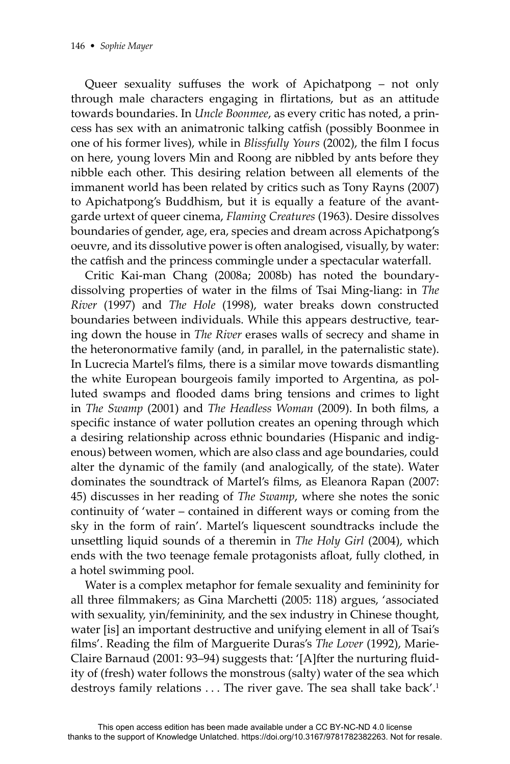Queer sexuality suffuses the work of Apichatpong – not only through male characters engaging in flirtations, but as an attitude towards boundaries. In *Uncle Boonmee*, as every critic has noted, a princess has sex with an animatronic talking catfish (possibly Boonmee in one of his former lives), while in *Blissfully Yours* (2002), the film I focus on here, young lovers Min and Roong are nibbled by ants before they nibble each other. This desiring relation between all elements of the immanent world has been related by critics such as Tony Rayns (2007) to Apichatpong's Buddhism, but it is equally a feature of the avantgarde urtext of queer cinema, *Flaming Creatures* (1963). Desire dissolves boundaries of gender, age, era, species and dream across Apichatpong's oeuvre, and its dissolutive power is often analogised, visually, by water: the catfish and the princess commingle under a spectacular waterfall.

Critic Kai-man Chang (2008a; 2008b) has noted the boundarydissolving properties of water in the films of Tsai Ming-liang: in *The River* (1997) and *The Hole* (1998), water breaks down constructed boundaries between individuals. While this appears destructive, tearing down the house in *The River* erases walls of secrecy and shame in the heteronormative family (and, in parallel, in the paternalistic state). In Lucrecia Martel's films, there is a similar move towards dismantling the white European bourgeois family imported to Argentina, as polluted swamps and flooded dams bring tensions and crimes to light in *The Swamp* (2001) and *The Headless Woman* (2009). In both films, a specific instance of water pollution creates an opening through which a desiring relationship across ethnic boundaries (Hispanic and indigenous) between women, which are also class and age boundaries, could alter the dynamic of the family (and analogically, of the state). Water dominates the soundtrack of Martel's films, as Eleanora Rapan (2007: 45) discusses in her reading of *The Swamp*, where she notes the sonic continuity of 'water – contained in different ways or coming from the sky in the form of rain'. Martel's liquescent soundtracks include the unsettling liquid sounds of a theremin in *The Holy Girl* (2004), which ends with the two teenage female protagonists afloat, fully clothed, in a hotel swimming pool.

Water is a complex metaphor for female sexuality and femininity for all three filmmakers; as Gina Marchetti (2005: 118) argues, 'associated with sexuality, yin/femininity, and the sex industry in Chinese thought, water [is] an important destructive and unifying element in all of Tsai's films'. Reading the film of Marguerite Duras's *The Lover* (1992), Marie-Claire Barnaud (2001: 93–94) suggests that: '[A]fter the nurturing fluidity of (fresh) water follows the monstrous (salty) water of the sea which destroys family relations . . . The river gave. The sea shall take back'.<sup>1</sup>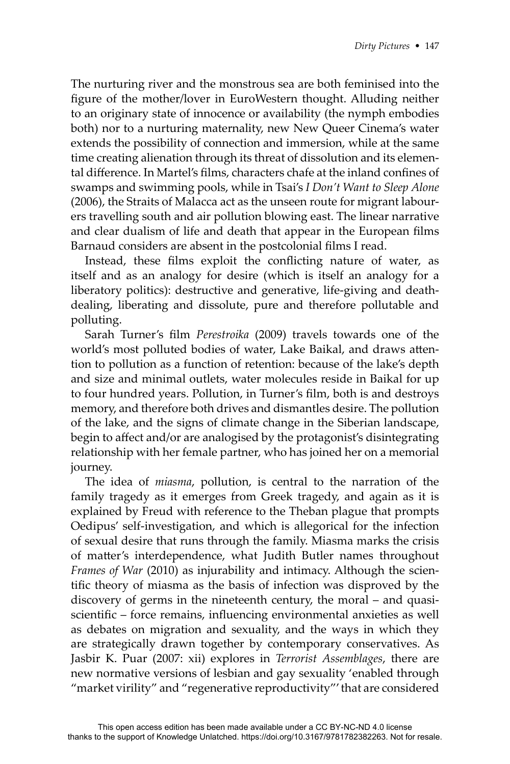The nurturing river and the monstrous sea are both feminised into the figure of the mother/lover in EuroWestern thought. Alluding neither to an originary state of innocence or availability (the nymph embodies both) nor to a nurturing maternality, new New Queer Cinema's water extends the possibility of connection and immersion, while at the same time creating alienation through its threat of dissolution and its elemental difference. In Martel's films, characters chafe at the inland confines of swamps and swimming pools, while in Tsai's *I Don't Want to Sleep Alone* (2006), the Straits of Malacca act as the unseen route for migrant labourers travelling south and air pollution blowing east. The linear narrative and clear dualism of life and death that appear in the European films Barnaud considers are absent in the postcolonial films I read.

Instead, these films exploit the conflicting nature of water, as itself and as an analogy for desire (which is itself an analogy for a liberatory politics): destructive and generative, life-giving and deathdealing, liberating and dissolute, pure and therefore pollutable and polluting.

Sarah Turner's film *Perestroika* (2009) travels towards one of the world's most polluted bodies of water, Lake Baikal, and draws attention to pollution as a function of retention: because of the lake's depth and size and minimal outlets, water molecules reside in Baikal for up to four hundred years. Pollution, in Turner's film, both is and destroys memory, and therefore both drives and dismantles desire. The pollution of the lake, and the signs of climate change in the Siberian landscape, begin to affect and/or are analogised by the protagonist's disintegrating relationship with her female partner, who has joined her on a memorial journey.

The idea of *miasma*, pollution, is central to the narration of the family tragedy as it emerges from Greek tragedy, and again as it is explained by Freud with reference to the Theban plague that prompts Oedipus' self-investigation, and which is allegorical for the infection of sexual desire that runs through the family. Miasma marks the crisis of matter's interdependence, what Judith Butler names throughout *Frames of War* (2010) as injurability and intimacy. Although the scientific theory of miasma as the basis of infection was disproved by the discovery of germs in the nineteenth century, the moral – and quasiscientific – force remains, influencing environmental anxieties as well as debates on migration and sexuality, and the ways in which they are strategically drawn together by contemporary conservatives. As Jasbir K. Puar (2007: xii) explores in *Terrorist Assemblages*, there are new normative versions of lesbian and gay sexuality 'enabled through "market virility" and "regenerative reproductivity"' that are considered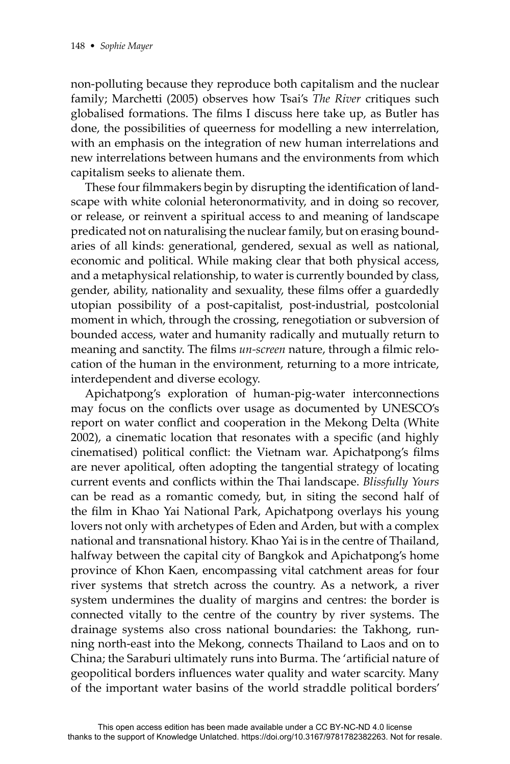non-polluting because they reproduce both capitalism and the nuclear family; Marchetti (2005) observes how Tsai's *The River* critiques such globalised formations. The films I discuss here take up, as Butler has done, the possibilities of queerness for modelling a new interrelation, with an emphasis on the integration of new human interrelations and new interrelations between humans and the environments from which capitalism seeks to alienate them.

These four filmmakers begin by disrupting the identification of landscape with white colonial heteronormativity, and in doing so recover, or release, or reinvent a spiritual access to and meaning of landscape predicated not on naturalising the nuclear family, but on erasing boundaries of all kinds: generational, gendered, sexual as well as national, economic and political. While making clear that both physical access, and a metaphysical relationship, to water is currently bounded by class, gender, ability, nationality and sexuality, these films offer a guardedly utopian possibility of a post-capitalist, post-industrial, postcolonial moment in which, through the crossing, renegotiation or subversion of bounded access, water and humanity radically and mutually return to meaning and sanctity. The films *un-screen* nature, through a filmic relocation of the human in the environment, returning to a more intricate, interdependent and diverse ecology.

Apichatpong's exploration of human-pig-water interconnections may focus on the conflicts over usage as documented by UNESCO's report on water conflict and cooperation in the Mekong Delta (White 2002), a cinematic location that resonates with a specific (and highly cinematised) political conflict: the Vietnam war. Apichatpong's films are never apolitical, often adopting the tangential strategy of locating current events and conflicts within the Thai landscape. *Blissfully Yours* can be read as a romantic comedy, but, in siting the second half of the film in Khao Yai National Park, Apichatpong overlays his young lovers not only with archetypes of Eden and Arden, but with a complex national and transnational history. Khao Yai is in the centre of Thailand, halfway between the capital city of Bangkok and Apichatpong's home province of Khon Kaen, encompassing vital catchment areas for four river systems that stretch across the country. As a network, a river system undermines the duality of margins and centres: the border is connected vitally to the centre of the country by river systems. The drainage systems also cross national boundaries: the Takhong, running north-east into the Mekong, connects Thailand to Laos and on to China; the Saraburi ultimately runs into Burma. The 'artificial nature of geopolitical borders influences water quality and water scarcity. Many of the important water basins of the world straddle political borders'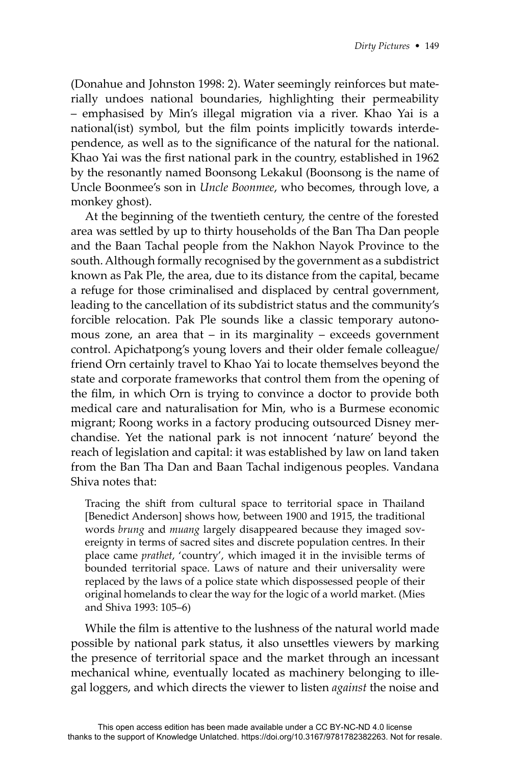(Donahue and Johnston 1998: 2). Water seemingly reinforces but materially undoes national boundaries, highlighting their permeability – emphasised by Min's illegal migration via a river. Khao Yai is a national(ist) symbol, but the film points implicitly towards interdependence, as well as to the significance of the natural for the national. Khao Yai was the first national park in the country, established in 1962 by the resonantly named Boonsong Lekakul (Boonsong is the name of Uncle Boonmee's son in *Uncle Boonmee*, who becomes, through love, a monkey ghost).

At the beginning of the twentieth century, the centre of the forested area was settled by up to thirty households of the Ban Tha Dan people and the Baan Tachal people from the Nakhon Nayok Province to the south. Although formally recognised by the government as a subdistrict known as Pak Ple, the area, due to its distance from the capital, became a refuge for those criminalised and displaced by central government, leading to the cancellation of its subdistrict status and the community's forcible relocation. Pak Ple sounds like a classic temporary autonomous zone, an area that – in its marginality – exceeds government control. Apichatpong's young lovers and their older female colleague/ friend Orn certainly travel to Khao Yai to locate themselves beyond the state and corporate frameworks that control them from the opening of the film, in which Orn is trying to convince a doctor to provide both medical care and naturalisation for Min, who is a Burmese economic migrant; Roong works in a factory producing outsourced Disney merchandise. Yet the national park is not innocent 'nature' beyond the reach of legislation and capital: it was established by law on land taken from the Ban Tha Dan and Baan Tachal indigenous peoples. Vandana Shiva notes that:

Tracing the shift from cultural space to territorial space in Thailand [Benedict Anderson] shows how, between 1900 and 1915, the traditional words *brung* and *muang* largely disappeared because they imaged sovereignty in terms of sacred sites and discrete population centres. In their place came *prathet*, 'country', which imaged it in the invisible terms of bounded territorial space. Laws of nature and their universality were replaced by the laws of a police state which dispossessed people of their original homelands to clear the way for the logic of a world market. (Mies and Shiva 1993: 105–6)

While the film is attentive to the lushness of the natural world made possible by national park status, it also unsettles viewers by marking the presence of territorial space and the market through an incessant mechanical whine, eventually located as machinery belonging to illegal loggers, and which directs the viewer to listen *against* the noise and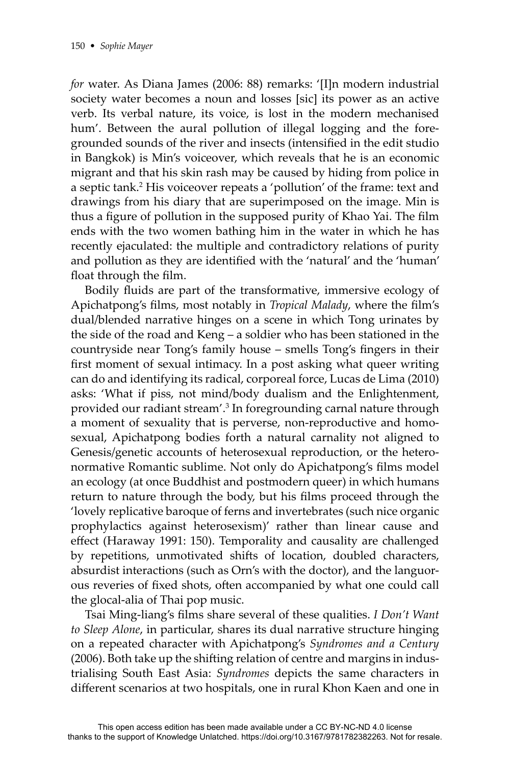*for* water. As Diana James (2006: 88) remarks: '[I]n modern industrial society water becomes a noun and losses [sic] its power as an active verb. Its verbal nature, its voice, is lost in the modern mechanised hum'. Between the aural pollution of illegal logging and the foregrounded sounds of the river and insects (intensified in the edit studio in Bangkok) is Min's voiceover, which reveals that he is an economic migrant and that his skin rash may be caused by hiding from police in a septic tank.<sup>2</sup> His voiceover repeats a 'pollution' of the frame: text and drawings from his diary that are superimposed on the image. Min is thus a figure of pollution in the supposed purity of Khao Yai. The film ends with the two women bathing him in the water in which he has recently ejaculated: the multiple and contradictory relations of purity and pollution as they are identified with the 'natural' and the 'human' float through the film.

Bodily fluids are part of the transformative, immersive ecology of Apichatpong's films, most notably in *Tropical Malady*, where the film's dual/blended narrative hinges on a scene in which Tong urinates by the side of the road and Keng – a soldier who has been stationed in the countryside near Tong's family house – smells Tong's fingers in their first moment of sexual intimacy. In a post asking what queer writing can do and identifying its radical, corporeal force, Lucas de Lima (2010) asks: 'What if piss, not mind/body dualism and the Enlightenment, provided our radiant stream'.<sup>3</sup> In foregrounding carnal nature through a moment of sexuality that is perverse, non-reproductive and homosexual, Apichatpong bodies forth a natural carnality not aligned to Genesis/genetic accounts of heterosexual reproduction, or the heteronormative Romantic sublime. Not only do Apichatpong's films model an ecology (at once Buddhist and postmodern queer) in which humans return to nature through the body, but his films proceed through the 'lovely replicative baroque of ferns and invertebrates (such nice organic prophylactics against heterosexism)' rather than linear cause and effect (Haraway 1991: 150). Temporality and causality are challenged by repetitions, unmotivated shifts of location, doubled characters, absurdist interactions (such as Orn's with the doctor), and the languorous reveries of fixed shots, often accompanied by what one could call the glocal-alia of Thai pop music.

Tsai Ming-liang's films share several of these qualities. *I Don't Want to Sleep Alone*, in particular, shares its dual narrative structure hinging on a repeated character with Apichatpong's *Syndromes and a Century* (2006). Both take up the shifting relation of centre and margins in industrialising South East Asia: *Syndromes* depicts the same characters in different scenarios at two hospitals, one in rural Khon Kaen and one in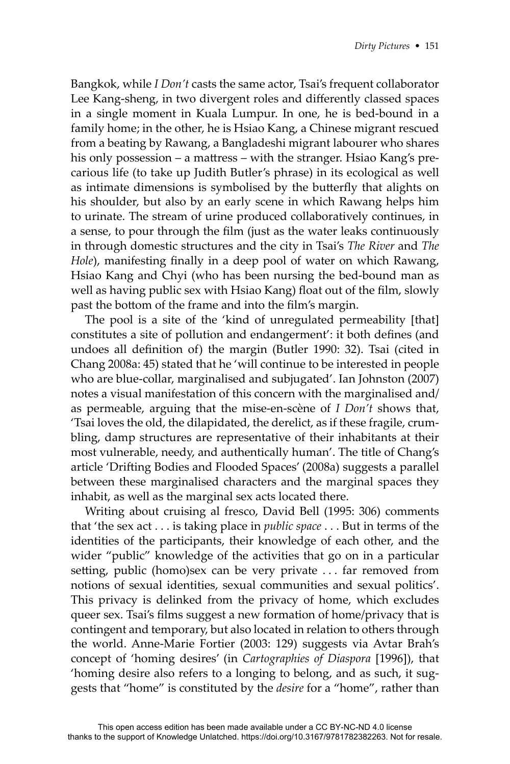Bangkok, while *I Don't* casts the same actor, Tsai's frequent collaborator Lee Kang-sheng, in two divergent roles and differently classed spaces in a single moment in Kuala Lumpur. In one, he is bed-bound in a family home; in the other, he is Hsiao Kang, a Chinese migrant rescued from a beating by Rawang, a Bangladeshi migrant labourer who shares his only possession – a mattress – with the stranger. Hsiao Kang's precarious life (to take up Judith Butler's phrase) in its ecological as well as intimate dimensions is symbolised by the butterfly that alights on his shoulder, but also by an early scene in which Rawang helps him to urinate. The stream of urine produced collaboratively continues, in a sense, to pour through the film (just as the water leaks continuously in through domestic structures and the city in Tsai's *The River* and *The Hole*), manifesting finally in a deep pool of water on which Rawang, Hsiao Kang and Chyi (who has been nursing the bed-bound man as well as having public sex with Hsiao Kang) float out of the film, slowly past the bottom of the frame and into the film's margin.

The pool is a site of the 'kind of unregulated permeability [that] constitutes a site of pollution and endangerment': it both defines (and undoes all definition of) the margin (Butler 1990: 32). Tsai (cited in Chang 2008a: 45) stated that he 'will continue to be interested in people who are blue-collar, marginalised and subjugated'. Ian Johnston (2007) notes a visual manifestation of this concern with the marginalised and/ as permeable, arguing that the mise-en-scène of *I Don't* shows that, 'Tsai loves the old, the dilapidated, the derelict, as if these fragile, crumbling, damp structures are representative of their inhabitants at their most vulnerable, needy, and authentically human'. The title of Chang's article 'Drifting Bodies and Flooded Spaces' (2008a) suggests a parallel between these marginalised characters and the marginal spaces they inhabit, as well as the marginal sex acts located there.

Writing about cruising al fresco, David Bell (1995: 306) comments that 'the sex act . . . is taking place in *public space* . . . But in terms of the identities of the participants, their knowledge of each other, and the wider "public" knowledge of the activities that go on in a particular setting, public (homo)sex can be very private . . . far removed from notions of sexual identities, sexual communities and sexual politics'. This privacy is delinked from the privacy of home, which excludes queer sex. Tsai's films suggest a new formation of home/privacy that is contingent and temporary, but also located in relation to others through the world. Anne-Marie Fortier (2003: 129) suggests via Avtar Brah's concept of 'homing desires' (in *Cartographies of Diaspora* [1996]), that 'homing desire also refers to a longing to belong, and as such, it suggests that "home" is constituted by the *desire* for a "home", rather than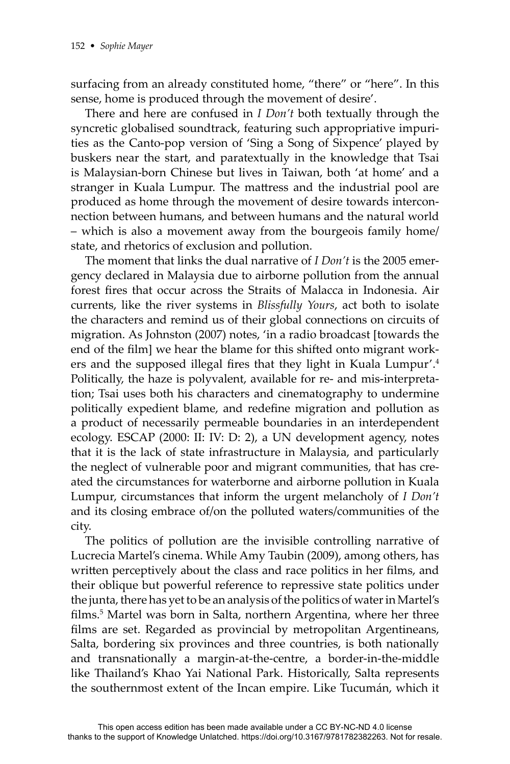surfacing from an already constituted home, "there" or "here". In this sense, home is produced through the movement of desire'.

There and here are confused in *I Don't* both textually through the syncretic globalised soundtrack, featuring such appropriative impurities as the Canto-pop version of 'Sing a Song of Sixpence' played by buskers near the start, and paratextually in the knowledge that Tsai is Malaysian-born Chinese but lives in Taiwan, both 'at home' and a stranger in Kuala Lumpur. The mattress and the industrial pool are produced as home through the movement of desire towards interconnection between humans, and between humans and the natural world – which is also a movement away from the bourgeois family home/ state, and rhetorics of exclusion and pollution.

The moment that links the dual narrative of *I Don't* is the 2005 emergency declared in Malaysia due to airborne pollution from the annual forest fires that occur across the Straits of Malacca in Indonesia. Air currents, like the river systems in *Blissfully Yours*, act both to isolate the characters and remind us of their global connections on circuits of migration. As Johnston (2007) notes, 'in a radio broadcast [towards the end of the film] we hear the blame for this shifted onto migrant workers and the supposed illegal fires that they light in Kuala Lumpur'.<sup>4</sup> Politically, the haze is polyvalent, available for re- and mis-interpretation; Tsai uses both his characters and cinematography to undermine politically expedient blame, and redefine migration and pollution as a product of necessarily permeable boundaries in an interdependent ecology. ESCAP (2000: II: IV: D: 2), a UN development agency, notes that it is the lack of state infrastructure in Malaysia, and particularly the neglect of vulnerable poor and migrant communities, that has created the circumstances for waterborne and airborne pollution in Kuala Lumpur, circumstances that inform the urgent melancholy of *I Don't* and its closing embrace of/on the polluted waters/communities of the city.

The politics of pollution are the invisible controlling narrative of Lucrecia Martel's cinema. While Amy Taubin (2009), among others, has written perceptively about the class and race politics in her films, and their oblique but powerful reference to repressive state politics under the junta, there has yet to be an analysis of the politics of water in Martel's films.<sup>5</sup> Martel was born in Salta, northern Argentina, where her three films are set. Regarded as provincial by metropolitan Argentineans, Salta, bordering six provinces and three countries, is both nationally and transnationally a margin-at-the-centre, a border-in-the-middle like Thailand's Khao Yai National Park. Historically, Salta represents the southernmost extent of the Incan empire. Like Tucumán, which it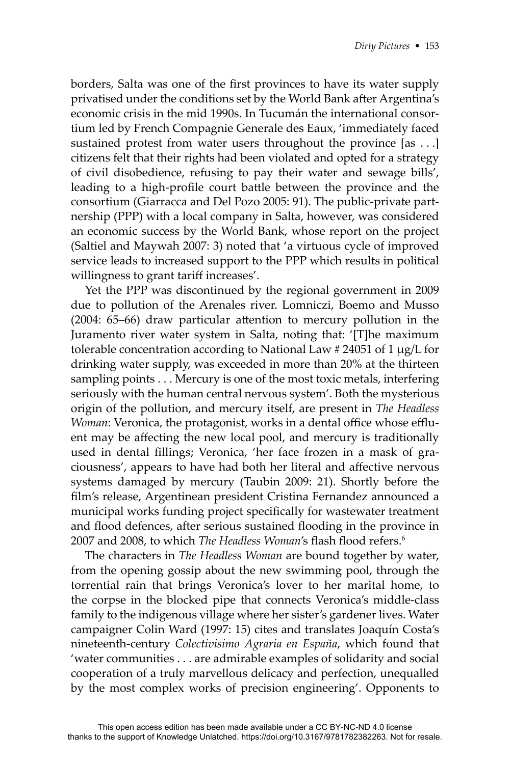borders, Salta was one of the first provinces to have its water supply privatised under the conditions set by the World Bank after Argentina's economic crisis in the mid 1990s. In Tucumán the international consortium led by French Compagnie Generale des Eaux, 'immediately faced sustained protest from water users throughout the province [as ...] citizens felt that their rights had been violated and opted for a strategy of civil disobedience, refusing to pay their water and sewage bills', leading to a high-profile court battle between the province and the consortium (Giarracca and Del Pozo 2005: 91). The public-private partnership (PPP) with a local company in Salta, however, was considered an economic success by the World Bank, whose report on the project (Saltiel and Maywah 2007: 3) noted that 'a virtuous cycle of improved service leads to increased support to the PPP which results in political willingness to grant tariff increases'.

Yet the PPP was discontinued by the regional government in 2009 due to pollution of the Arenales river. Lomniczi, Boemo and Musso (2004: 65–66) draw particular attention to mercury pollution in the Juramento river water system in Salta, noting that: '[T]he maximum tolerable concentration according to National Law  $\# 24051$  of 1 µg/L for drinking water supply, was exceeded in more than 20% at the thirteen sampling points . . . Mercury is one of the most toxic metals, interfering seriously with the human central nervous system'. Both the mysterious origin of the pollution, and mercury itself, are present in *The Headless Woman*: Veronica, the protagonist, works in a dental office whose effluent may be affecting the new local pool, and mercury is traditionally used in dental fillings; Veronica, 'her face frozen in a mask of graciousness', appears to have had both her literal and affective nervous systems damaged by mercury (Taubin 2009: 21). Shortly before the film's release, Argentinean president Cristina Fernandez announced a municipal works funding project specifically for wastewater treatment and flood defences, after serious sustained flooding in the province in 2007 and 2008, to which *The Headless Woman's* flash flood refers.<sup>6</sup>

The characters in *The Headless Woman* are bound together by water, from the opening gossip about the new swimming pool, through the torrential rain that brings Veronica's lover to her marital home, to the corpse in the blocked pipe that connects Veronica's middle-class family to the indigenous village where her sister's gardener lives. Water campaigner Colin Ward (1997: 15) cites and translates Joaquín Costa's nineteenth-century *Colectivisimo Agraria en España*, which found that 'water communities . . . are admirable examples of solidarity and social cooperation of a truly marvellous delicacy and perfection, unequalled by the most complex works of precision engineering'. Opponents to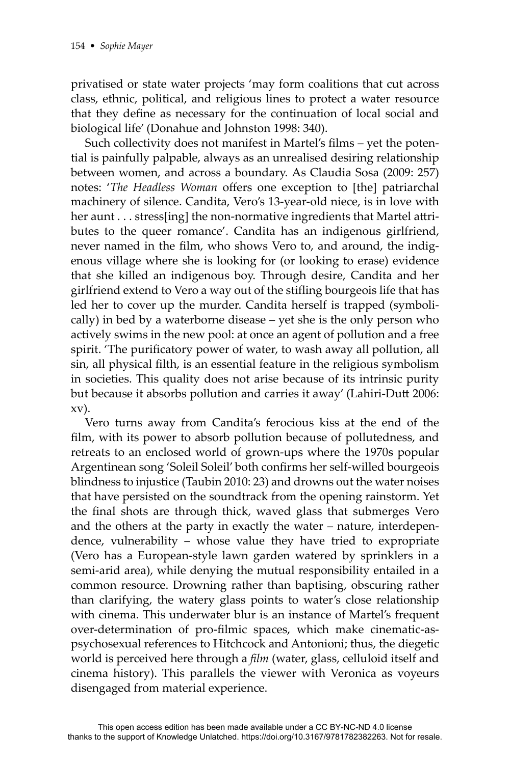privatised or state water projects 'may form coalitions that cut across class, ethnic, political, and religious lines to protect a water resource that they define as necessary for the continuation of local social and biological life' (Donahue and Johnston 1998: 340).

Such collectivity does not manifest in Martel's films – yet the potential is painfully palpable, always as an unrealised desiring relationship between women, and across a boundary. As Claudia Sosa (2009: 257) notes: '*The Headless Woman* offers one exception to [the] patriarchal machinery of silence. Candita, Vero's 13-year-old niece, is in love with her aunt . . . stress[ing] the non-normative ingredients that Martel attributes to the queer romance'. Candita has an indigenous girlfriend, never named in the film, who shows Vero to, and around, the indigenous village where she is looking for (or looking to erase) evidence that she killed an indigenous boy. Through desire, Candita and her girlfriend extend to Vero a way out of the stifling bourgeois life that has led her to cover up the murder. Candita herself is trapped (symbolically) in bed by a waterborne disease – yet she is the only person who actively swims in the new pool: at once an agent of pollution and a free spirit. 'The purificatory power of water, to wash away all pollution, all sin, all physical filth, is an essential feature in the religious symbolism in societies. This quality does not arise because of its intrinsic purity but because it absorbs pollution and carries it away' (Lahiri-Dutt 2006: xv).

Vero turns away from Candita's ferocious kiss at the end of the film, with its power to absorb pollution because of pollutedness, and retreats to an enclosed world of grown-ups where the 1970s popular Argentinean song 'Soleil Soleil' both confirms her self-willed bourgeois blindness to injustice (Taubin 2010: 23) and drowns out the water noises that have persisted on the soundtrack from the opening rainstorm. Yet the final shots are through thick, waved glass that submerges Vero and the others at the party in exactly the water – nature, interdependence, vulnerability – whose value they have tried to expropriate (Vero has a European-style lawn garden watered by sprinklers in a semi-arid area), while denying the mutual responsibility entailed in a common resource. Drowning rather than baptising, obscuring rather than clarifying, the watery glass points to water's close relationship with cinema. This underwater blur is an instance of Martel's frequent over-determination of pro-filmic spaces, which make cinematic-aspsychosexual references to Hitchcock and Antonioni; thus, the diegetic world is perceived here through a *film* (water, glass, celluloid itself and cinema history). This parallels the viewer with Veronica as voyeurs disengaged from material experience.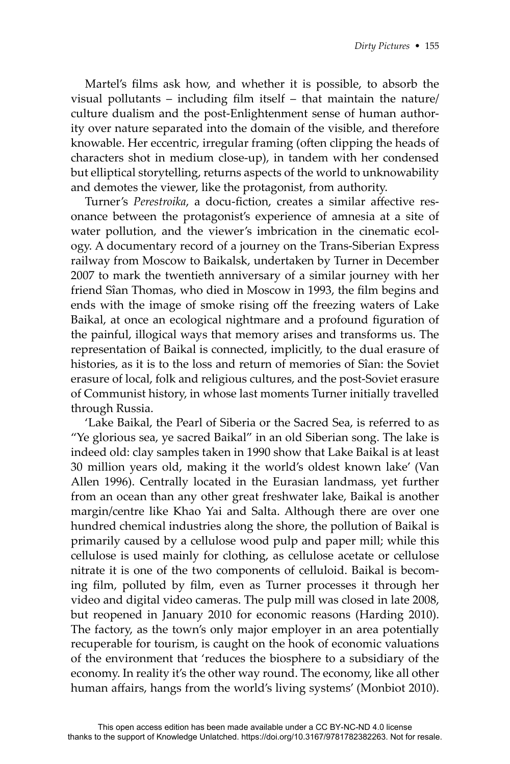Martel's films ask how, and whether it is possible, to absorb the visual pollutants – including film itself – that maintain the nature/ culture dualism and the post-Enlightenment sense of human authority over nature separated into the domain of the visible, and therefore knowable. Her eccentric, irregular framing (often clipping the heads of characters shot in medium close-up), in tandem with her condensed but elliptical storytelling, returns aspects of the world to unknowability and demotes the viewer, like the protagonist, from authority.

Turner's *Perestroika*, a docu-fiction, creates a similar affective resonance between the protagonist's experience of amnesia at a site of water pollution, and the viewer's imbrication in the cinematic ecology. A documentary record of a journey on the Trans-Siberian Express railway from Moscow to Baikalsk, undertaken by Turner in December 2007 to mark the twentieth anniversary of a similar journey with her friend Sîan Thomas, who died in Moscow in 1993, the film begins and ends with the image of smoke rising off the freezing waters of Lake Baikal, at once an ecological nightmare and a profound figuration of the painful, illogical ways that memory arises and transforms us. The representation of Baikal is connected, implicitly, to the dual erasure of histories, as it is to the loss and return of memories of Sîan: the Soviet erasure of local, folk and religious cultures, and the post-Soviet erasure of Communist history, in whose last moments Turner initially travelled through Russia.

'Lake Baikal, the Pearl of Siberia or the Sacred Sea, is referred to as "Ye glorious sea, ye sacred Baikal" in an old Siberian song. The lake is indeed old: clay samples taken in 1990 show that Lake Baikal is at least 30 million years old, making it the world's oldest known lake' (Van Allen 1996). Centrally located in the Eurasian landmass, yet further from an ocean than any other great freshwater lake, Baikal is another margin/centre like Khao Yai and Salta. Although there are over one hundred chemical industries along the shore, the pollution of Baikal is primarily caused by a cellulose wood pulp and paper mill; while this cellulose is used mainly for clothing, as cellulose acetate or cellulose nitrate it is one of the two components of celluloid. Baikal is becoming film, polluted by film, even as Turner processes it through her video and digital video cameras. The pulp mill was closed in late 2008, but reopened in January 2010 for economic reasons (Harding 2010). The factory, as the town's only major employer in an area potentially recuperable for tourism, is caught on the hook of economic valuations of the environment that 'reduces the biosphere to a subsidiary of the economy. In reality it's the other way round. The economy, like all other human affairs, hangs from the world's living systems' (Monbiot 2010).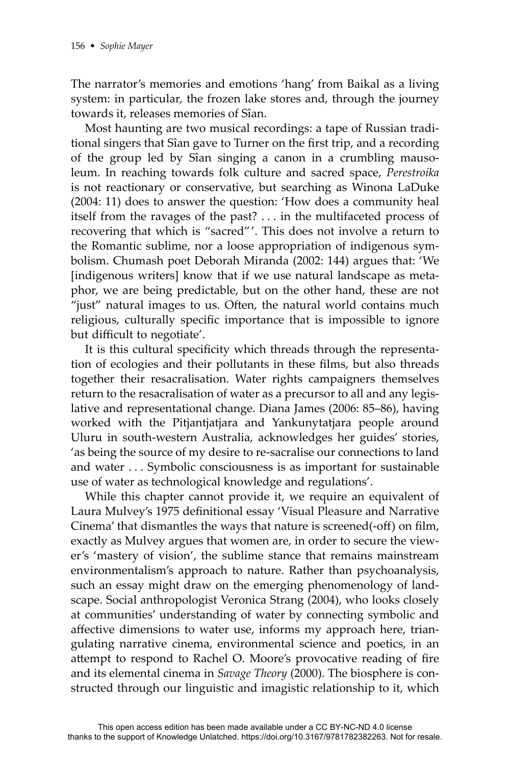The narrator's memories and emotions 'hang' from Baikal as a living system: in particular, the frozen lake stores and, through the journey towards it, releases memories of Sîan.

Most haunting are two musical recordings: a tape of Russian traditional singers that Sîan gave to Turner on the first trip, and a recording of the group led by Sîan singing a canon in a crumbling mausoleum. In reaching towards folk culture and sacred space, *Perestroika* is not reactionary or conservative, but searching as Winona LaDuke (2004: 11) does to answer the question: 'How does a community heal itself from the ravages of the past? . . . in the multifaceted process of recovering that which is "sacred"'. This does not involve a return to the Romantic sublime, nor a loose appropriation of indigenous symbolism. Chumash poet Deborah Miranda (2002: 144) argues that: 'We [indigenous writers] know that if we use natural landscape as metaphor, we are being predictable, but on the other hand, these are not "just" natural images to us. Often, the natural world contains much religious, culturally specific importance that is impossible to ignore but difficult to negotiate'.

It is this cultural specificity which threads through the representation of ecologies and their pollutants in these films, but also threads together their resacralisation. Water rights campaigners themselves return to the resacralisation of water as a precursor to all and any legislative and representational change. Diana James (2006: 85–86), having worked with the Pitjantjatjara and Yankunytatjara people around Uluru in south-western Australia, acknowledges her guides' stories, 'as being the source of my desire to re-sacralise our connections to land and water . . . Symbolic consciousness is as important for sustainable use of water as technological knowledge and regulations'.

While this chapter cannot provide it, we require an equivalent of Laura Mulvey's 1975 definitional essay 'Visual Pleasure and Narrative Cinema' that dismantles the ways that nature is screened(-off) on film, exactly as Mulvey argues that women are, in order to secure the viewer's 'mastery of vision', the sublime stance that remains mainstream environmentalism's approach to nature. Rather than psychoanalysis, such an essay might draw on the emerging phenomenology of landscape. Social anthropologist Veronica Strang (2004), who looks closely at communities' understanding of water by connecting symbolic and affective dimensions to water use, informs my approach here, triangulating narrative cinema, environmental science and poetics, in an attempt to respond to Rachel O. Moore's provocative reading of fire and its elemental cinema in *Savage Theory* (2000). The biosphere is constructed through our linguistic and imagistic relationship to it, which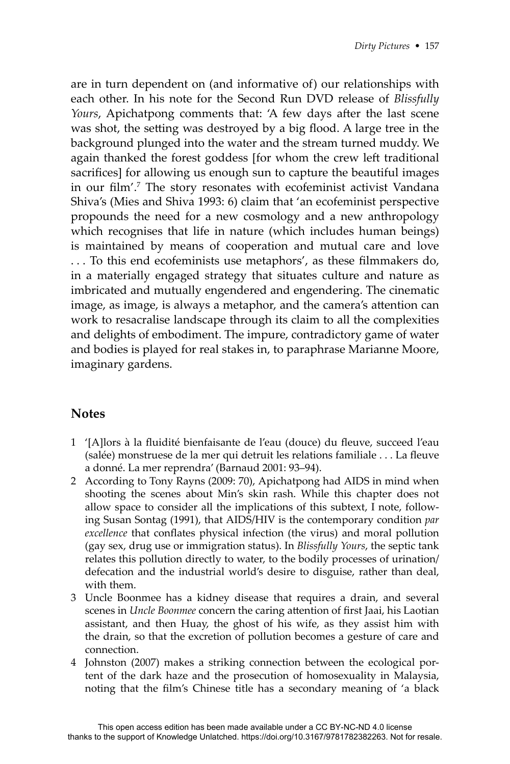are in turn dependent on (and informative of) our relationships with each other. In his note for the Second Run DVD release of *Blissfully Yours*, Apichatpong comments that: 'A few days after the last scene was shot, the setting was destroyed by a big flood. A large tree in the background plunged into the water and the stream turned muddy. We again thanked the forest goddess [for whom the crew left traditional sacrifices] for allowing us enough sun to capture the beautiful images in our film'.<sup>7</sup> The story resonates with ecofeminist activist Vandana Shiva's (Mies and Shiva 1993: 6) claim that 'an ecofeminist perspective propounds the need for a new cosmology and a new anthropology which recognises that life in nature (which includes human beings) is maintained by means of cooperation and mutual care and love ... To this end ecofeminists use metaphors', as these filmmakers do, in a materially engaged strategy that situates culture and nature as imbricated and mutually engendered and engendering. The cinematic image, as image, is always a metaphor, and the camera's attention can work to resacralise landscape through its claim to all the complexities and delights of embodiment. The impure, contradictory game of water and bodies is played for real stakes in, to paraphrase Marianne Moore, imaginary gardens.

## **Notes**

- 1 '[A]lors à la fluidité bienfaisante de l'eau (douce) du fleuve, succeed l'eau (salée) monstruese de la mer qui detruit les relations familiale . . . La fleuve a donné. La mer reprendra' (Barnaud 2001: 93–94).
- 2 According to Tony Rayns (2009: 70), Apichatpong had AIDS in mind when shooting the scenes about Min's skin rash. While this chapter does not allow space to consider all the implications of this subtext, I note, following Susan Sontag (1991), that AIDS/HIV is the contemporary condition *par excellence* that conflates physical infection (the virus) and moral pollution (gay sex, drug use or immigration status). In *Blissfully Yours*, the septic tank relates this pollution directly to water, to the bodily processes of urination/ defecation and the industrial world's desire to disguise, rather than deal, with them.
- 3 Uncle Boonmee has a kidney disease that requires a drain, and several scenes in *Uncle Boonmee* concern the caring attention of first Jaai, his Laotian assistant, and then Huay, the ghost of his wife, as they assist him with the drain, so that the excretion of pollution becomes a gesture of care and connection.
- 4 Johnston (2007) makes a striking connection between the ecological portent of the dark haze and the prosecution of homosexuality in Malaysia, noting that the film's Chinese title has a secondary meaning of 'a black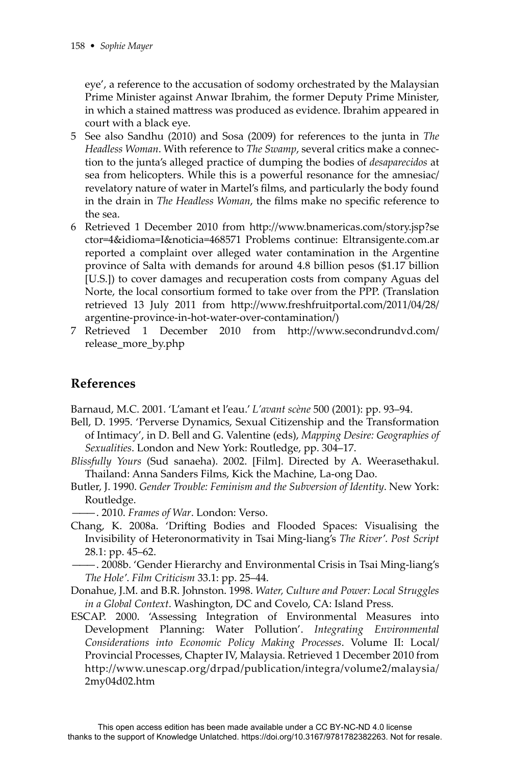eye', a reference to the accusation of sodomy orchestrated by the Malaysian Prime Minister against Anwar Ibrahim, the former Deputy Prime Minister, in which a stained mattress was produced as evidence. Ibrahim appeared in court with a black eye.

- 5 See also Sandhu (2010) and Sosa (2009) for references to the junta in *The Headless Woman*. With reference to *The Swamp*, several critics make a connection to the junta's alleged practice of dumping the bodies of *desaparecidos* at sea from helicopters. While this is a powerful resonance for the amnesiac/ revelatory nature of water in Martel's films, and particularly the body found in the drain in *The Headless Woman*, the films make no specific reference to the sea.
- 6 Retrieved 1 December 2010 from http://www.bnamericas.com/story.jsp?se ctor=4&idioma=I&noticia=468571 Problems continue: Eltransigente.com.ar reported a complaint over alleged water contamination in the Argentine province of Salta with demands for around 4.8 billion pesos (\$1.17 billion [U.S.]) to cover damages and recuperation costs from company Aguas del Norte, the local consortium formed to take over from the PPP. (Translation retrieved 13 July 2011 from http://www.freshfruitportal.com/2011/04/28/ argentine-province-in-hot-water-over-contamination/)
- 7 Retrieved 1 December 2010 from http://www.secondrundvd.com/ release\_more\_by.php

## **References**

Barnaud, M.C. 2001. 'L'amant et l'eau.' *L'avant scène* 500 (2001): pp. 93–94.

- Bell, D. 1995. 'Perverse Dynamics, Sexual Citizenship and the Transformation of Intimacy', in D. Bell and G. Valentine (eds), *Mapping Desire: Geographies of Sexualities*. London and New York: Routledge, pp. 304–17.
- *Blissfully Yours* (Sud sanaeha). 2002. [Film]. Directed by A. Weerasethakul. Thailand: Anna Sanders Films, Kick the Machine, La-ong Dao.
- Butler, J. 1990. *Gender Trouble: Feminism and the Subversion of Identity*. New York: Routledge.
- ———. 2010. *Frames of War*. London: Verso.
- Chang, K. 2008a. 'Drifting Bodies and Flooded Spaces: Visualising the Invisibility of Heteronormativity in Tsai Ming-liang's *The River*'. *Post Script* 28.1: pp. 45–62.
- ———. 2008b. 'Gender Hierarchy and Environmental Crisis in Tsai Ming-liang's *The Hole*'. *Film Criticism* 33.1: pp. 25–44.
- Donahue, J.M. and B.R. Johnston. 1998. *Water, Culture and Power: Local Struggles in a Global Context*. Washington, DC and Covelo, CA: Island Press.
- ESCAP. 2000. 'Assessing Integration of Environmental Measures into Development Planning: Water Pollution'. *Integrating Environmental Considerations into Economic Policy Making Processes*. Volume II: Local/ Provincial Processes, Chapter IV, Malaysia. Retrieved 1 December 2010 from http://www.unescap.org/drpad/publication/integra/volume2/malaysia/ 2my04d02.htm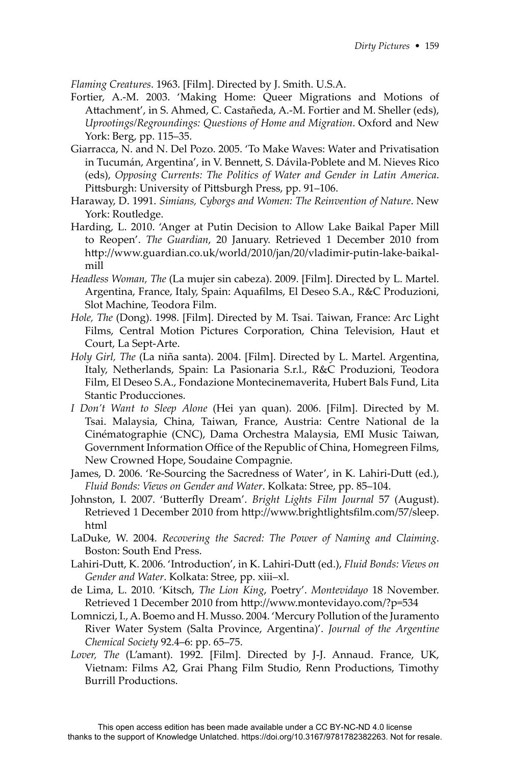*Flaming Creatures*. 1963. [Film]. Directed by J. Smith. U.S.A.

- Fortier, A.-M. 2003. 'Making Home: Queer Migrations and Motions of Attachment', in S. Ahmed, C. Castañeda, A.-M. Fortier and M. Sheller (eds), *Uprootings/Regroundings: Questions of Home and Migration*. Oxford and New York: Berg, pp. 115–35.
- Giarracca, N. and N. Del Pozo. 2005. 'To Make Waves: Water and Privatisation in Tucumán, Argentina', in V. Bennett, S. Dávila-Poblete and M. Nieves Rico (eds), *Opposing Currents: The Politics of Water and Gender in Latin America*. Pittsburgh: University of Pittsburgh Press, pp. 91–106.
- Haraway, D. 1991. *Simians, Cyborgs and Women: The Reinvention of Nature*. New York: Routledge.
- Harding, L. 2010. 'Anger at Putin Decision to Allow Lake Baikal Paper Mill to Reopen'. *The Guardian*, 20 January. Retrieved 1 December 2010 from http://www.guardian.co.uk/world/2010/jan/20/vladimir-putin-lake-baikalmill
- *Headless Woman, The* (La mujer sin cabeza). 2009. [Film]. Directed by L. Martel. Argentina, France, Italy, Spain: Aquafilms, El Deseo S.A., R&C Produzioni, Slot Machine, Teodora Film.
- *Hole, The* (Dong). 1998. [Film]. Directed by M. Tsai. Taiwan, France: Arc Light Films, Central Motion Pictures Corporation, China Television, Haut et Court, La Sept-Arte.
- *Holy Girl, The* (La niña santa). 2004. [Film]. Directed by L. Martel. Argentina, Italy, Netherlands, Spain: La Pasionaria S.r.l., R&C Produzioni, Teodora Film, El Deseo S.A., Fondazione Montecinemaverita, Hubert Bals Fund, Lita Stantic Producciones.
- *I Don't Want to Sleep Alone* (Hei yan quan). 2006. [Film]. Directed by M. Tsai. Malaysia, China, Taiwan, France, Austria: Centre National de la Cinématographie (CNC), Dama Orchestra Malaysia, EMI Music Taiwan, Government Information Office of the Republic of China, Homegreen Films, New Crowned Hope, Soudaine Compagnie.
- James, D. 2006. 'Re-Sourcing the Sacredness of Water', in K. Lahiri-Dutt (ed.), *Fluid Bonds: Views on Gender and Water*. Kolkata: Stree, pp. 85–104.
- Johnston, I. 2007. 'Butterfly Dream'. *Bright Lights Film Journal* 57 (August). Retrieved 1 December 2010 from http://www.brightlightsfilm.com/57/sleep. html
- LaDuke, W. 2004. *Recovering the Sacred: The Power of Naming and Claiming*. Boston: South End Press.
- Lahiri-Dutt, K. 2006. 'Introduction', in K. Lahiri-Dutt (ed.), *Fluid Bonds: Views on Gender and Water*. Kolkata: Stree, pp. xiii–xl.
- de Lima, L. 2010. 'Kitsch, *The Lion King*, Poetry'. *Montevidayo* 18 November. Retrieved 1 December 2010 from http://www.montevidayo.com/?p=534
- Lomniczi, I., A. Boemo and H. Musso. 2004. 'Mercury Pollution of the Juramento River Water System (Salta Province, Argentina)'. *Journal of the Argentine Chemical Society* 92.4–6: pp. 65–75.
- *Lover, The* (L'amant). 1992. [Film]. Directed by J-J. Annaud. France, UK, Vietnam: Films A2, Grai Phang Film Studio, Renn Productions, Timothy Burrill Productions.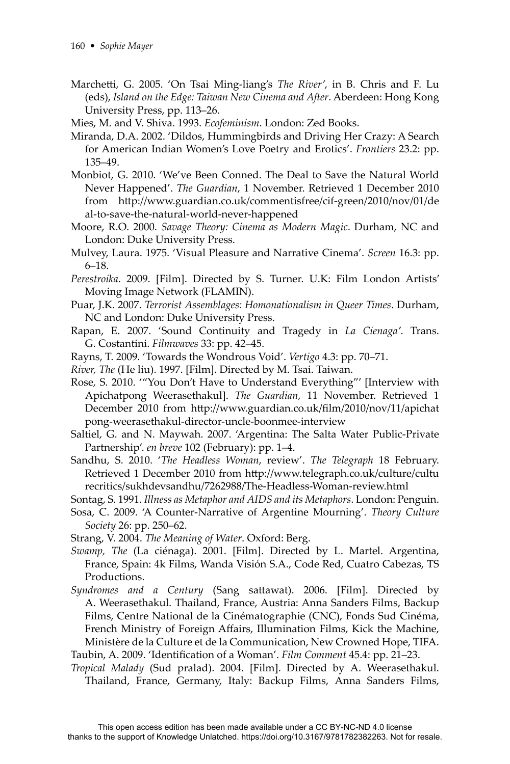- Marchetti, G. 2005. 'On Tsai Ming-liang's *The River*', in B. Chris and F. Lu (eds), *Island on the Edge: Taiwan New Cinema and After*. Aberdeen: Hong Kong University Press, pp. 113–26.
- Mies, M. and V. Shiva. 1993. *Ecofeminism*. London: Zed Books.
- Miranda, D.A. 2002. 'Dildos, Hummingbirds and Driving Her Crazy: A Search for American Indian Women's Love Poetry and Erotics'. *Frontiers* 23.2: pp. 135–49.
- Monbiot, G. 2010. 'We've Been Conned. The Deal to Save the Natural World Never Happened'. *The Guardian*, 1 November. Retrieved 1 December 2010 from http://www.guardian.co.uk/commentisfree/cif-green/2010/nov/01/de al-to-save-the-natural-world-never-happened
- Moore, R.O. 2000. *Savage Theory: Cinema as Modern Magic*. Durham, NC and London: Duke University Press.
- Mulvey, Laura. 1975. 'Visual Pleasure and Narrative Cinema'. *Screen* 16.3: pp. 6–18.
- *Perestroika*. 2009. [Film]. Directed by S. Turner. U.K: Film London Artists' Moving Image Network (FLAMIN).
- Puar, J.K. 2007. *Terrorist Assemblages: Homonationalism in Queer Times*. Durham, NC and London: Duke University Press.
- Rapan, E. 2007. 'Sound Continuity and Tragedy in *La Cienaga*'. Trans. G. Costantini. *Filmwaves* 33: pp. 42–45.
- Rayns, T. 2009. 'Towards the Wondrous Void'. *Vertigo* 4.3: pp. 70–71.
- *River, The* (He liu). 1997. [Film]. Directed by M. Tsai. Taiwan.
- Rose, S. 2010. '"You Don't Have to Understand Everything"' [Interview with Apichatpong Weerasethakul]. *The Guardian,* 11 November. Retrieved 1 December 2010 from http://www.guardian.co.uk/film/2010/nov/11/apichat pong-weerasethakul-director-uncle-boonmee-interview
- Saltiel, G. and N. Maywah. 2007. 'Argentina: The Salta Water Public-Private Partnership'. *en breve* 102 (February): pp. 1–4.
- Sandhu, S. 2010. '*The Headless Woman*, review'. *The Telegraph* 18 February. Retrieved 1 December 2010 from http://www.telegraph.co.uk/culture/cultu recritics/sukhdevsandhu/7262988/The-Headless-Woman-review.html
- Sontag, S. 1991. *Illness as Metaphor and AIDS and its Metaphors*. London: Penguin.
- Sosa, C. 2009. 'A Counter-Narrative of Argentine Mourning'. *Theory Culture Society* 26: pp. 250–62.
- Strang, V. 2004. *The Meaning of Water*. Oxford: Berg.
- *Swamp, The* (La ciénaga). 2001. [Film]. Directed by L. Martel. Argentina, France, Spain: 4k Films, Wanda Visión S.A., Code Red, Cuatro Cabezas, TS Productions.
- *Syndromes and a Century* (Sang sattawat). 2006. [Film]. Directed by A. Weerasethakul. Thailand, France, Austria: Anna Sanders Films, Backup Films, Centre National de la Cinématographie (CNC), Fonds Sud Cinéma, French Ministry of Foreign Affairs, Illumination Films, Kick the Machine, Ministère de la Culture et de la Communication, New Crowned Hope, TIFA.

Taubin, A. 2009. 'Identification of a Woman'. *Film Comment* 45.4: pp. 21–23.

*Tropical Malady* (Sud pralad). 2004. [Film]. Directed by A. Weerasethakul. Thailand, France, Germany, Italy: Backup Films, Anna Sanders Films,